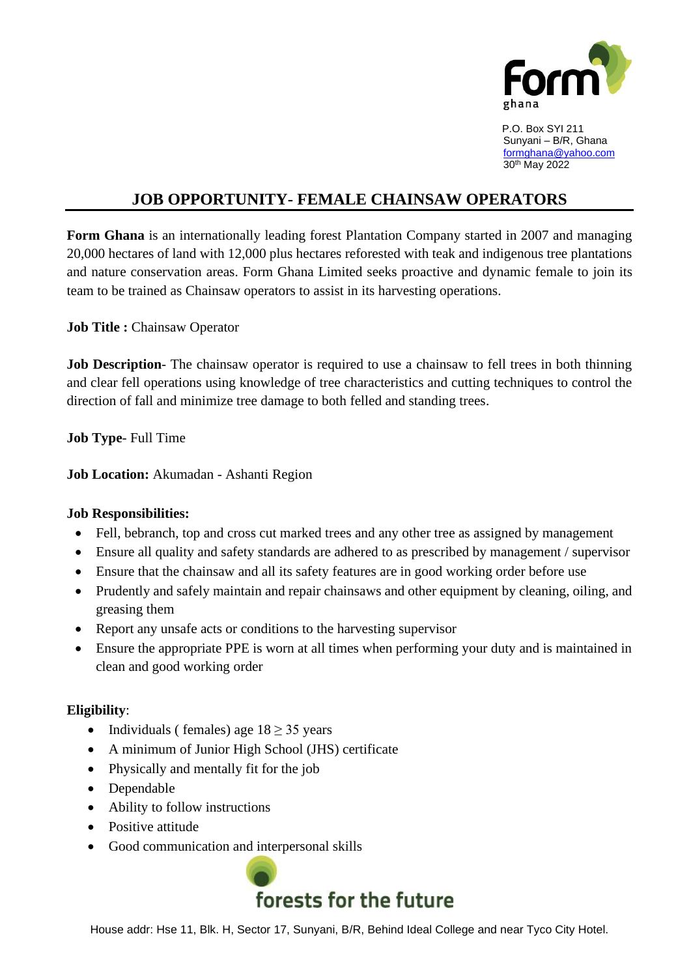

 P.O. Box SYI 211 Sunyani – B/R, Ghana [formghana@yahoo.com](mailto:formghana@yahoo.com) 30th May 2022

## **JOB OPPORTUNITY- FEMALE CHAINSAW OPERATORS**

**Form Ghana** is an internationally leading forest Plantation Company started in 2007 and managing 20,000 hectares of land with 12,000 plus hectares reforested with teak and indigenous tree plantations and nature conservation areas. Form Ghana Limited seeks proactive and dynamic female to join its team to be trained as Chainsaw operators to assist in its harvesting operations.

**Job Title :** Chainsaw Operator

**Job Description**- The chainsaw operator is required to use a chainsaw to fell trees in both thinning and clear fell operations using knowledge of tree characteristics and cutting techniques to control the direction of fall and minimize tree damage to both felled and standing trees.

**Job Type**- Full Time

**Job Location:** Akumadan - Ashanti Region

## **Job Responsibilities:**

- Fell, bebranch, top and cross cut marked trees and any other tree as assigned by management
- Ensure all quality and safety standards are adhered to as prescribed by management / supervisor
- Ensure that the chainsaw and all its safety features are in good working order before use
- Prudently and safely maintain and repair chainsaws and other equipment by cleaning, oiling, and greasing them
- Report any unsafe acts or conditions to the harvesting supervisor
- Ensure the appropriate PPE is worn at all times when performing your duty and is maintained in clean and good working order

## **Eligibility**:

- Individuals ( females) age  $18 \ge 35$  years
- A minimum of Junior High School (JHS) certificate
- Physically and mentally fit for the job
- Dependable
- Ability to follow instructions
- Positive attitude
- Good communication and interpersonal skills



House addr: Hse 11, Blk. H, Sector 17, Sunyani, B/R, Behind Ideal College and near Tyco City Hotel.